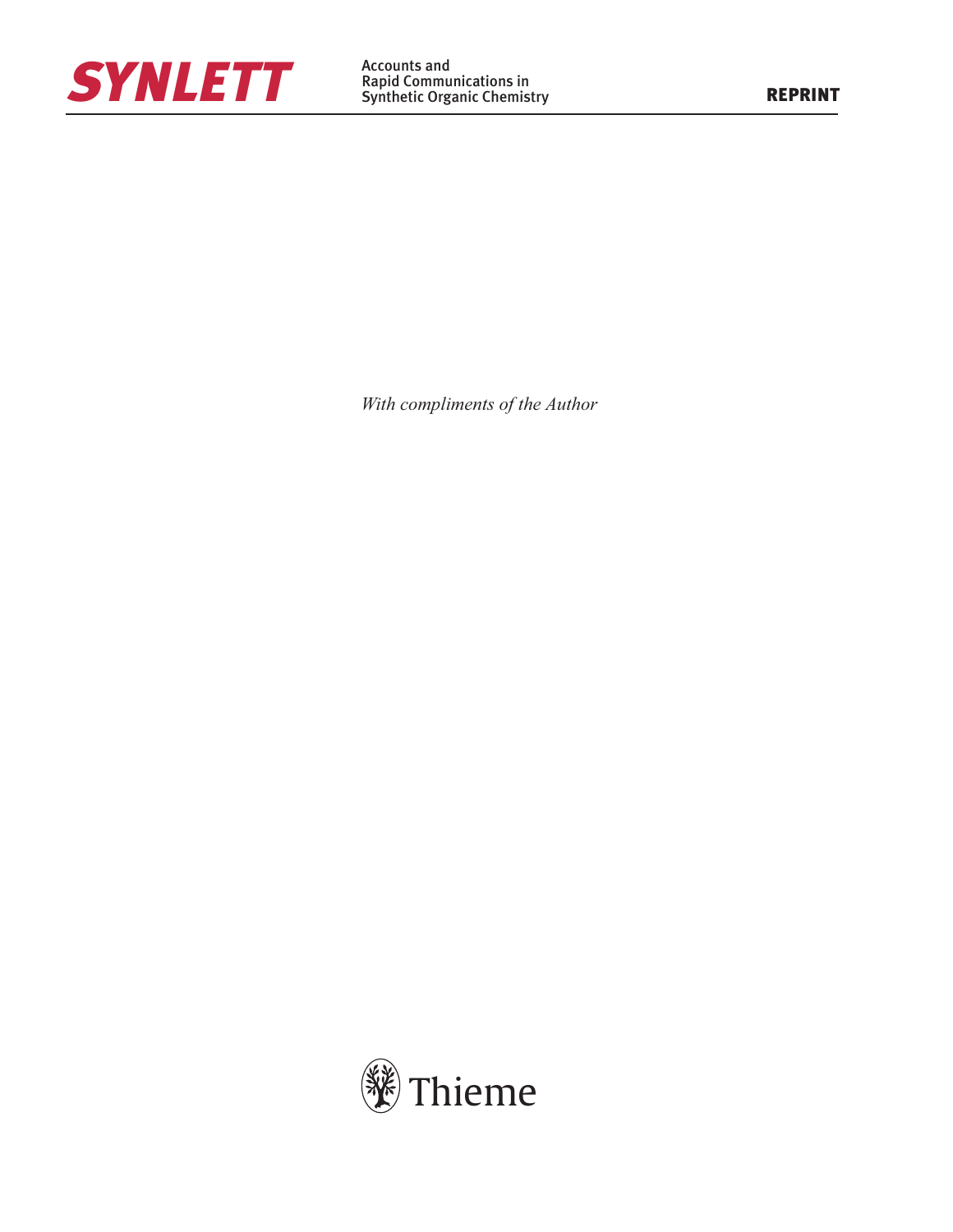

With compliments of the Author

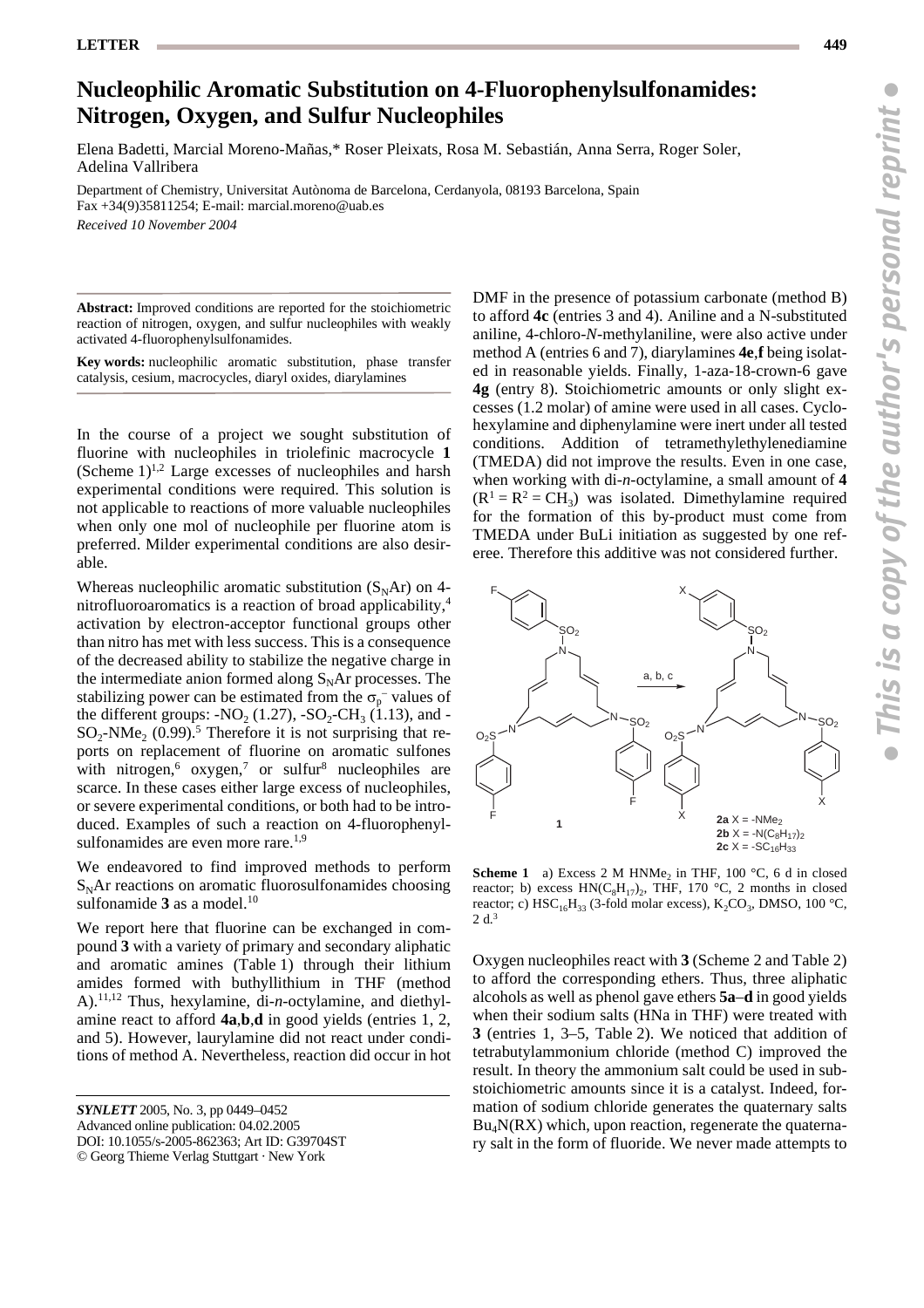## **Nucleophilic Aromatic Substitution on 4-Fluorophenylsulfonamides: Nitrogen, Oxygen, and Sulfur Nucleophiles**

Elena Badetti, Marcial Moreno-Mañas,\* Roser Pleixats, Rosa M. Sebastián, Anna Serra, Roger Soler, Adelina Vallribera

Department of Chemistry, Universitat Autònoma de Barcelona, Cerdanyola, 08193 Barcelona, Spain Fax +34(9)35811254; E-mail: marcial.moreno@uab.es

*Received 10 November 2004*

**Abstract:** Improved conditions are reported for the stoichiometric reaction of nitrogen, oxygen, and sulfur nucleophiles with weakly activated 4-fluorophenylsulfonamides.

**Key words:** nucleophilic aromatic substitution, phase transfer catalysis, cesium, macrocycles, diaryl oxides, diarylamines

In the course of a project we sought substitution of fluorine with nucleophiles in triolefinic macrocycle **1** (Scheme  $1$ )<sup>1,2</sup> Large excesses of nucleophiles and harsh experimental conditions were required. This solution is not applicable to reactions of more valuable nucleophiles when only one mol of nucleophile per fluorine atom is preferred. Milder experimental conditions are also desirable.

Whereas nucleophilic aromatic substitution  $(S<sub>N</sub>Ar)$  on 4nitrofluoroaromatics is a reaction of broad applicability,4 activation by electron-acceptor functional groups other than nitro has met with less success. This is a consequence of the decreased ability to stabilize the negative charge in the intermediate anion formed along  $S<sub>N</sub>$ Ar processes. The stabilizing power can be estimated from the  $\sigma_{p}^{-}$  values of the different groups: - $NO_2 (1.27)$ , - $SO_2$ -CH<sub>3</sub> (1.13), and - $SO_2$ -NMe<sub>2</sub> (0.99).<sup>5</sup> Therefore it is not surprising that reports on replacement of fluorine on aromatic sulfones with nitrogen,<sup>6</sup> oxygen,<sup>7</sup> or sulfur<sup>8</sup> nucleophiles are scarce. In these cases either large excess of nucleophiles, or severe experimental conditions, or both had to be introduced. Examples of such a reaction on 4-fluorophenylsulfonamides are even more rare.<sup>1,9</sup>

We endeavored to find improved methods to perform  $S<sub>N</sub>$ Ar reactions on aromatic fluorosulfonamides choosing sulfonamide 3 as a model.<sup>10</sup>

We report here that fluorine can be exchanged in compound **3** with a variety of primary and secondary aliphatic and aromatic amines (Table 1) through their lithium amides formed with buthyllithium in THF (method A).11,12 Thus, hexylamine, di-*n*-octylamine, and diethylamine react to afford **4a**,**b**,**d** in good yields (entries 1, 2, and 5). However, laurylamine did not react under conditions of method A. Nevertheless, reaction did occur in hot

*SYNLETT* 2005, No. 3, pp 0449-0452 Advanced online publication: 04.02.2005 DOI: 10.1055/s-2005-862363; Art ID: G39704ST © Georg Thieme Verlag Stuttgart · New York

DMF in the presence of potassium carbonate (method B) to afford **4c** (entries 3 and 4). Aniline and a N-substituted aniline, 4-chloro-*N*-methylaniline, were also active under method A (entries 6 and 7), diarylamines **4e**,**f** being isolated in reasonable yields. Finally, 1-aza-18-crown-6 gave **4g** (entry 8). Stoichiometric amounts or only slight excesses (1.2 molar) of amine were used in all cases. Cyclohexylamine and diphenylamine were inert under all tested conditions. Addition of tetramethylethylenediamine (TMEDA) did not improve the results. Even in one case, when working with di-*n*-octylamine, a small amount of **4**  $(R^1 = R^2 = CH_3)$  was isolated. Dimethylamine required for the formation of this by-product must come from TMEDA under BuLi initiation as suggested by one referee. Therefore this additive was not considered further.



**Scheme 1** a) Excess 2 M HNMe<sub>2</sub> in THF, 100  $^{\circ}$ C, 6 d in closed reactor; b) excess  $HN(C_8H_{17})_2$ , THF, 170 °C, 2 months in closed reactor; c)  $HSC_{16}H_{33}$  (3-fold molar excess),  $K_2CO_3$ , DMSO, 100 °C, 2 d.3

Oxygen nucleophiles react with **3** (Scheme 2 and Table 2) to afford the corresponding ethers. Thus, three aliphatic alcohols as well as phenol gave ethers **5a**–**d** in good yields when their sodium salts (HNa in THF) were treated with **3** (entries 1, 3–5, Table 2). We noticed that addition of tetrabutylammonium chloride (method C) improved the result. In theory the ammonium salt could be used in substoichiometric amounts since it is a catalyst. Indeed, formation of sodium chloride generates the quaternary salts  $Bu<sub>4</sub>N(RX)$  which, upon reaction, regenerate the quaternary salt in the form of fluoride. We never made attempts to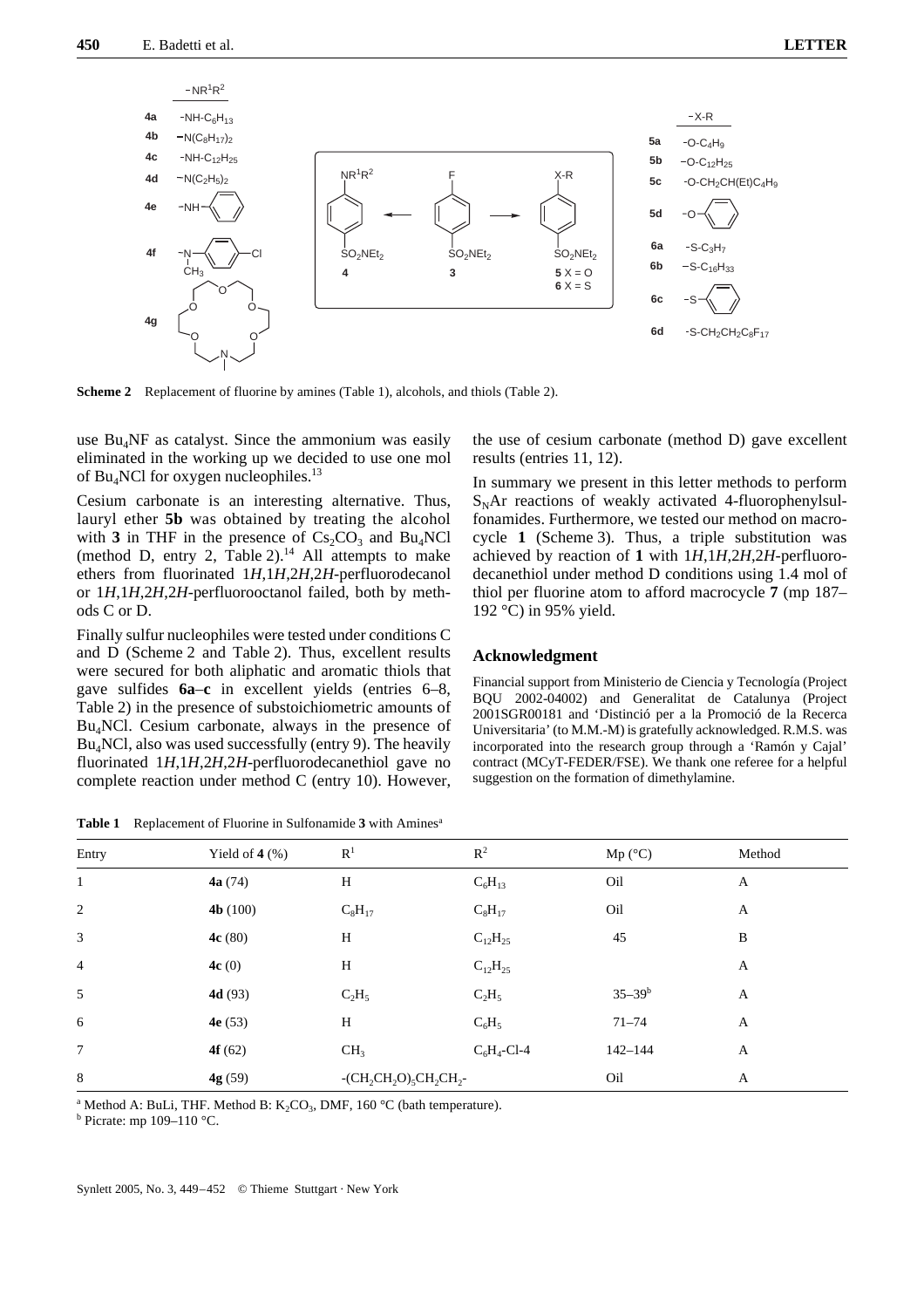

**Scheme 2** Replacement of fluorine by amines (Table 1), alcohols, and thiols (Table 2).

use Bu<sub>4</sub>NF as catalyst. Since the ammonium was easily eliminated in the working up we decided to use one mol of  $Bu<sub>4</sub>NC1$  for oxygen nucleophiles.<sup>13</sup>

Cesium carbonate is an interesting alternative. Thus, lauryl ether **5b** was obtained by treating the alcohol with **3** in THF in the presence of  $Cs_2CO_3$  and Bu<sub>4</sub>NCl (method D, entry 2, Table  $2$ ).<sup>14</sup> All attempts to make ethers from fluorinated 1*H*,1*H*,2*H*,2*H*-perfluorodecanol or 1*H*,1*H*,2*H*,2*H*-perfluorooctanol failed, both by methods C or D.

Finally sulfur nucleophiles were tested under conditions C and D (Scheme 2 and Table 2). Thus, excellent results were secured for both aliphatic and aromatic thiols that gave sulfides **6a**–**c** in excellent yields (entries 6–8, Table 2) in the presence of substoichiometric amounts of  $Bu<sub>4</sub>NCl$ . Cesium carbonate, always in the presence of  $Bu<sub>4</sub>NC1$ , also was used successfully (entry 9). The heavily fluorinated 1*H*,1*H*,2*H*,2*H*-perfluorodecanethiol gave no complete reaction under method C (entry 10). However,

**Table 1** Replacement of Fluorine in Sulfonamide **3** with Aminesa

the use of cesium carbonate (method D) gave excellent results (entries 11, 12).

In summary we present in this letter methods to perform  $S<sub>N</sub>$ Ar reactions of weakly activated 4-fluorophenylsulfonamides. Furthermore, we tested our method on macrocycle **1** (Scheme 3). Thus, a triple substitution was achieved by reaction of **1** with 1*H*,1*H*,2*H*,2*H*-perfluorodecanethiol under method D conditions using 1.4 mol of thiol per fluorine atom to afford macrocycle **7** (mp 187– 192 °C) in 95% yield.

## **Acknowledgment**

Financial support from Ministerio de Ciencia y Tecnología (Project BQU 2002-04002) and Generalitat de Catalunya (Project 2001SGR00181 and 'Distinció per a la Promoció de la Recerca Universitaria' (to M.M.-M) is gratefully acknowledged. R.M.S. was incorporated into the research group through a 'Ramón y Cajal' contract (MCyT-FEDER/FSE). We thank one referee for a helpful suggestion on the formation of dimethylamine.

| Entry          | Yield of $4$ $(\% )$ | $\mathbb{R}^1$                         | $R^2$          | Mp (°C)     | Method |
|----------------|----------------------|----------------------------------------|----------------|-------------|--------|
| $\mathbf{1}$   | 4a(74)               | $\boldsymbol{\mathrm{H}}$              | $C_6H_{13}$    | Oil         | A      |
| 2              | 4b(100)              | $C_8H_{17}$                            | $C_8H_{17}$    | Oil         | A      |
| 3              | 4c(80)               | H                                      | $C_{12}H_{25}$ | 45          | B      |
| $\overline{4}$ | 4c(0)                | $\boldsymbol{\mathrm{H}}$              | $C_{12}H_{25}$ |             | A      |
| 5              | 4d(93)               | $C_2H_5$                               | $C_2H_5$       | $35 - 39b$  | A      |
| 6              | 4e(53)               | H                                      | $C_6H_5$       | $71 - 74$   | A      |
| $\tau$         | 4 $f(62)$            | CH <sub>3</sub>                        | $C_6H_4$ -Cl-4 | $142 - 144$ | A      |
| 8              | 4g (59)              | $-CH_2CH_2O$ <sub>5</sub> $CH_2CH_2$ - |                | Oil         | A      |

<sup>a</sup> Method A: BuLi, THF. Method B:  $K_2CO_3$ , DMF, 160 °C (bath temperature).<br><sup>b</sup> Picrate: mp. 109, 110 °C

 $b$  Picrate: mp 109-110 °C.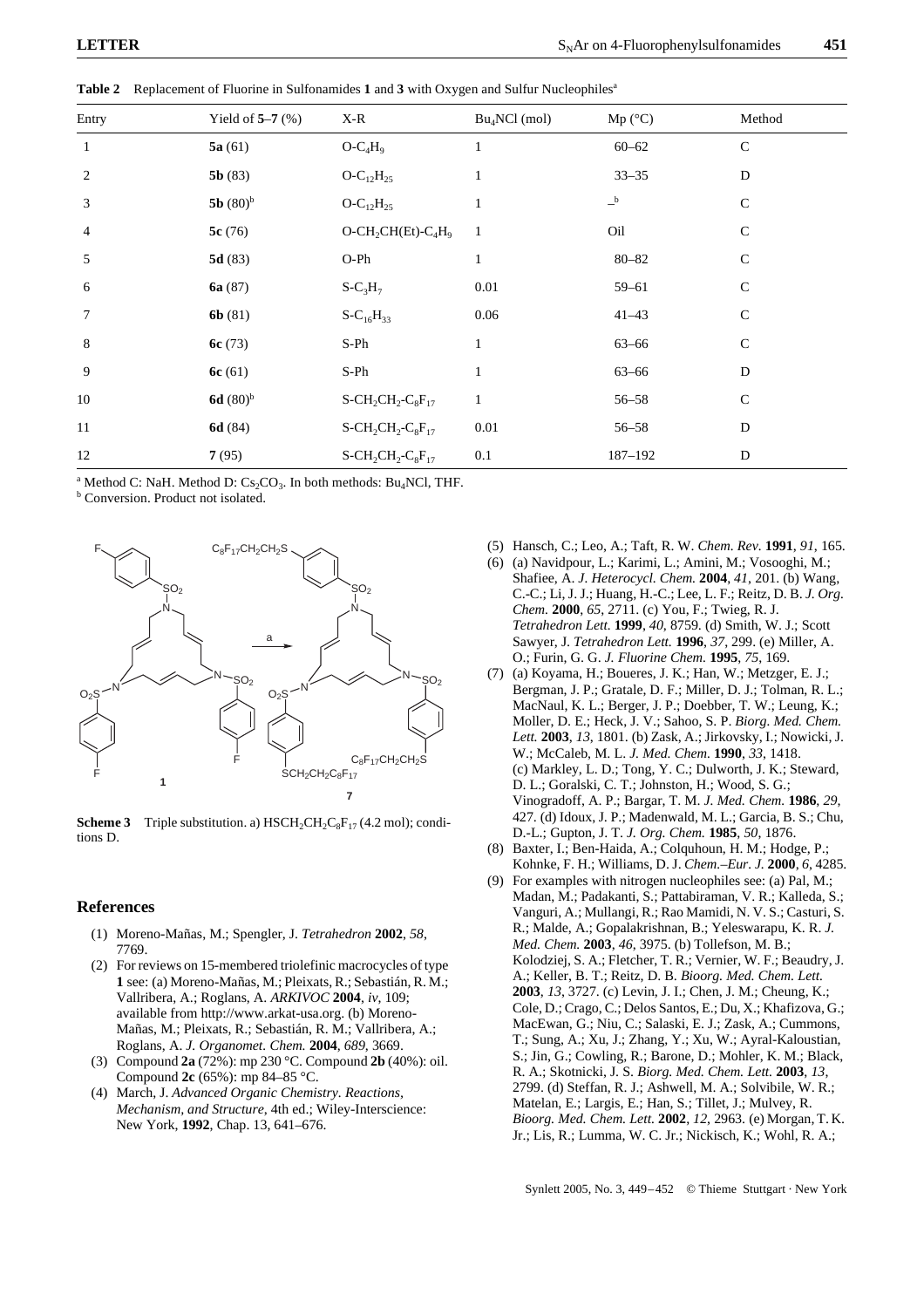| Entry          | Yield of $5-7$ (%)   | $X-R$                                                                | $Bu_4NCl$ (mol) | Mp (°C)   | Method       |
|----------------|----------------------|----------------------------------------------------------------------|-----------------|-----------|--------------|
| $\mathbf{1}$   | 5a(61)               | $O-C_4H_9$                                                           |                 | $60 - 62$ | $\mathsf{C}$ |
| 2              | 5b(83)               | $O-C_{12}H_{25}$                                                     | 1               | $33 - 35$ | D            |
| 3              | 5b $(80)^b$          | $O-C_{12}H_{25}$                                                     |                 | $-$ b     | $\mathbf C$  |
| $\overline{4}$ | 5c(76)               | $O - CH_2CH(Et) - C_4H_9$                                            | $\mathbf{1}$    | Oil       | $\mathsf{C}$ |
| 5              | 5d(83)               | $O-Ph$                                                               | 1               | $80 - 82$ | $\mathbf C$  |
| 6              | 6a $(87)$            | $S-C_3H_7$                                                           | 0.01            | $59 - 61$ | $\mathbf C$  |
| $\tau$         | 6b(81)               | $S-C_{16}H_{33}$                                                     | 0.06            | $41 - 43$ | $\mathbf C$  |
| 8              | 6c $(73)$            | S-Ph                                                                 | $\mathbf{1}$    | $63 - 66$ | $\mathsf{C}$ |
| 9              | 6c(61)               | S-Ph                                                                 |                 | $63 - 66$ | D            |
| 10             | 6d (80) <sup>b</sup> | $S$ -CH <sub>2</sub> CH <sub>2</sub> -C <sub>8</sub> F <sub>17</sub> | $\mathbf{1}$    | $56 - 58$ | $\mathsf{C}$ |
| 11             | 6d(84)               | $S$ -CH <sub>2</sub> CH <sub>2</sub> -C <sub>8</sub> F <sub>17</sub> | 0.01            | $56 - 58$ | D            |
| 12             | 7(95)                | $S$ -CH <sub>2</sub> CH <sub>2</sub> -C <sub>8</sub> F <sub>17</sub> | 0.1             | 187-192   | D            |

**Table 2** Replacement of Fluorine in Sulfonamides **1** and **3** with Oxygen and Sulfur Nucleophilesa

<sup>a</sup> Method C: NaH. Method D:  $Cs_2CO_3$ . In both methods: Bu<sub>4</sub>NCl, THF.

**b** Conversion. Product not isolated.



**Scheme 3** Triple substitution. a)  $HSCH_2CH_2C_8F_{17}(4.2 \text{ mol})$ ; conditions D.

## **References**

- (1) Moreno-Mañas, M.; Spengler, J. *Tetrahedron* **2002**, *58*, 7769.
- (2) For reviews on 15-membered triolefinic macrocycles of type **1** see: (a) Moreno-Mañas, M.; Pleixats, R.; Sebastián, R. M.; Vallribera, A.; Roglans, A. *ARKIVOC* **2004**, *iv*, 109; available from http://www.arkat-usa.org. (b) Moreno-Mañas, M.; Pleixats, R.; Sebastián, R. M.; Vallribera, A.; Roglans, A. *J. Organomet. Chem.* **2004**, *689*, 3669.
- (3) Compound **2a** (72%): mp 230 °C. Compound **2b** (40%): oil. Compound **2c** (65%): mp 84–85 °C.
- (4) March, J. *Advanced Organic Chemistry. Reactions, Mechanism, and Structure*, 4th ed.; Wiley-Interscience: New York, **1992**, Chap. 13, 641–676.
- (5) Hansch, C.; Leo, A.; Taft, R. W. *Chem. Rev.* **1991**, *91*, 165.
- (6) (a) Navidpour, L.; Karimi, L.; Amini, M.; Vosooghi, M.; Shafiee, A. *J. Heterocycl. Chem.* **2004**, *41*, 201. (b) Wang, C.-C.; Li, J. J.; Huang, H.-C.; Lee, L. F.; Reitz, D. B. *J. Org. Chem.* **2000**, *65*, 2711. (c) You, F.; Twieg, R. J. *Tetrahedron Lett.* **1999**, *40*, 8759. (d) Smith, W. J.; Scott Sawyer, J. *Tetrahedron Lett.* **1996**, *37*, 299. (e) Miller, A. O.; Furin, G. G. *J. Fluorine Chem.* **1995**, *75*, 169.
- (7) (a) Koyama, H.; Boueres, J. K.; Han, W.; Metzger, E. J.; Bergman, J. P.; Gratale, D. F.; Miller, D. J.; Tolman, R. L.; MacNaul, K. L.; Berger, J. P.; Doebber, T. W.; Leung, K.; Moller, D. E.; Heck, J. V.; Sahoo, S. P. *Biorg. Med. Chem. Lett.* **2003**, *13*, 1801. (b) Zask, A.; Jirkovsky, I.; Nowicki, J. W.; McCaleb, M. L. *J. Med. Chem.* **1990**, *33*, 1418. (c) Markley, L. D.; Tong, Y. C.; Dulworth, J. K.; Steward, D. L.; Goralski, C. T.; Johnston, H.; Wood, S. G.; Vinogradoff, A. P.; Bargar, T. M. *J. Med. Chem.* **1986**, *29*, 427. (d) Idoux, J. P.; Madenwald, M. L.; Garcia, B. S.; Chu, D.-L.; Gupton, J. T. *J. Org. Chem.* **1985**, *50*, 1876.
- (8) Baxter, I.; Ben-Haida, A.; Colquhoun, H. M.; Hodge, P.; Kohnke, F. H.; Williams, D. J. *Chem.–Eur. J.* **2000**, *6*, 4285.
- (9) For examples with nitrogen nucleophiles see: (a) Pal, M.; Madan, M.; Padakanti, S.; Pattabiraman, V. R.; Kalleda, S.; Vanguri, A.; Mullangi, R.; Rao Mamidi, N. V. S.; Casturi, S. R.; Malde, A.; Gopalakrishnan, B.; Yeleswarapu, K. R. *J. Med. Chem.* **2003**, *46*, 3975. (b) Tollefson, M. B.; Kolodziej, S. A.; Fletcher, T. R.; Vernier, W. F.; Beaudry, J. A.; Keller, B. T.; Reitz, D. B. *Bioorg. Med. Chem. Lett.*  **2003**, *13*, 3727. (c) Levin, J. I.; Chen, J. M.; Cheung, K.; Cole, D.; Crago, C.; Delos Santos, E.; Du, X.; Khafizova, G.; MacEwan, G.; Niu, C.; Salaski, E. J.; Zask, A.; Cummons, T.; Sung, A.; Xu, J.; Zhang, Y.; Xu, W.; Ayral-Kaloustian, S.; Jin, G.; Cowling, R.; Barone, D.; Mohler, K. M.; Black, R. A.; Skotnicki, J. S. *Biorg. Med. Chem. Lett.* **2003**, *13*, 2799. (d) Steffan, R. J.; Ashwell, M. A.; Solvibile, W. R.; Matelan, E.; Largis, E.; Han, S.; Tillet, J.; Mulvey, R. *Bioorg. Med. Chem. Lett.* **2002**, *12*, 2963. (e) Morgan, T. K. Jr.; Lis, R.; Lumma, W. C. Jr.; Nickisch, K.; Wohl, R. A.;